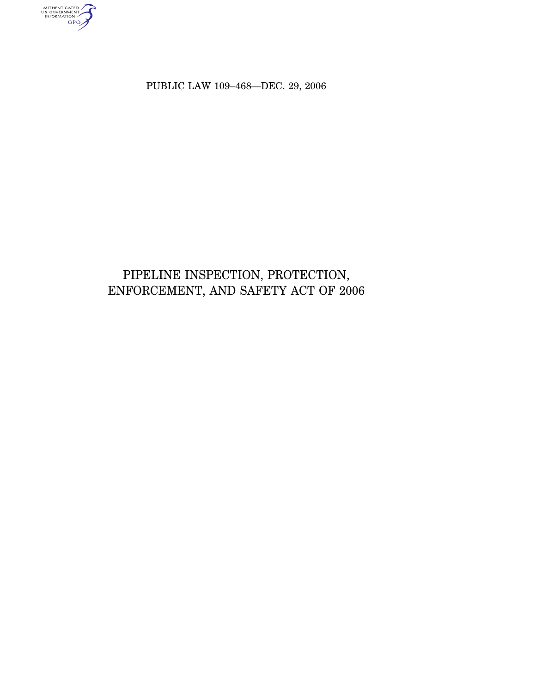authenticated<br>u.s. government<br>information

PUBLIC LAW 109–468—DEC. 29, 2006

# PIPELINE INSPECTION, PROTECTION, ENFORCEMENT, AND SAFETY ACT OF 2006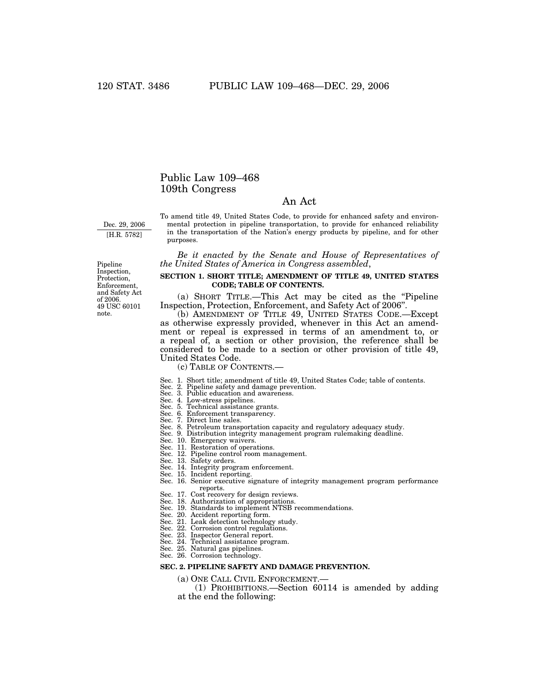# Public Law 109–468 109th Congress

# An Act

Dec. 29, 2006 [H.R. 5782]

To amend title 49, United States Code, to provide for enhanced safety and environmental protection in pipeline transportation, to provide for enhanced reliability in the transportation of the Nation's energy products by pipeline, and for other purposes.

*Be it enacted by the Senate and House of Representatives of the United States of America in Congress assembled*,

## **SECTION 1. SHORT TITLE; AMENDMENT OF TITLE 49, UNITED STATES CODE; TABLE OF CONTENTS.**

(a) SHORT TITLE.—This Act may be cited as the ''Pipeline Inspection, Protection, Enforcement, and Safety Act of 2006''.

(b) AMENDMENT OF TITLE 49, UNITED STATES CODE.—Except as otherwise expressly provided, whenever in this Act an amendment or repeal is expressed in terms of an amendment to, or a repeal of, a section or other provision, the reference shall be considered to be made to a section or other provision of title 49, United States Code.

(c) TABLE OF CONTENTS.—

- Sec. 1. Short title; amendment of title 49, United States Code; table of contents. Sec. 2. Pipeline safety and damage prevention.
- 
- Sec. 3. Public education and awareness. Sec. 4. Low-stress pipelines. Sec. 5. Technical assistance grants.
- 
- 
- Sec. 6. Enforcement transparency. Sec. 7. Direct line sales.
- 
- Sec. 8. Petroleum transportation capacity and regulatory adequacy study.
- Sec. 9. Distribution integrity management program rulemaking deadline.
- Sec. 10. Emergency waivers.
- Sec. 11. Restoration of operations.
- Sec. 12. Pipeline control room management.
- Sec. 13. Safety orders.
- Sec. 14. Integrity program enforcement. Sec. 15. Incident reporting.
- Sec. 16. Senior executive signature of integrity management program performance reports.
- Sec. 17. Cost recovery for design reviews.
- Sec. 18. Authorization of appropriations. Sec. 19. Standards to implement NTSB recommendations.
- 
- 
- Sec. 20. Accident reporting form. Sec. 21. Leak detection technology study.
- Sec. 22. Corrosion control regulations.
- Sec. 23. Inspector General report.
- Sec. 24. Technical assistance program. Sec. 25. Natural gas pipelines.
- 
- Sec. 26. Corrosion technology.

## **SEC. 2. PIPELINE SAFETY AND DAMAGE PREVENTION.**

(a) ONE CALL CIVIL ENFORCEMENT.—

(1) PROHIBITIONS.—Section 60114 is amended by adding at the end the following:

Pipeline Inspection, Protection, Enforcement, and Safety Act of 2006. 49 USC 60101 note.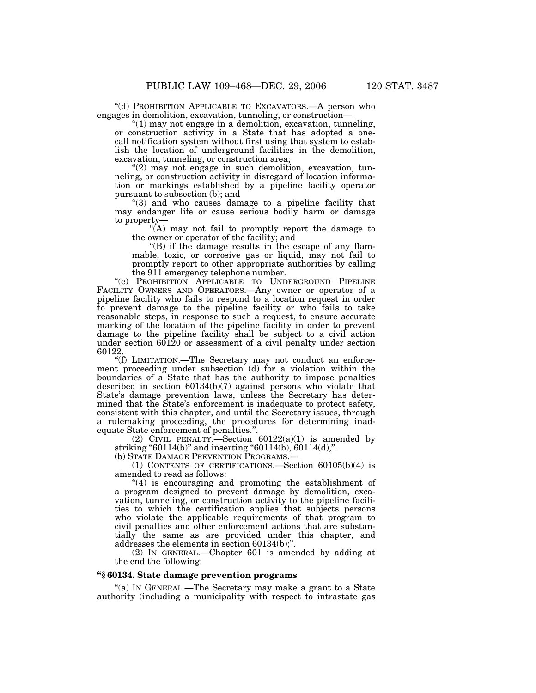''(d) PROHIBITION APPLICABLE TO EXCAVATORS.—A person who engages in demolition, excavation, tunneling, or construction—

''(1) may not engage in a demolition, excavation, tunneling, or construction activity in a State that has adopted a onecall notification system without first using that system to establish the location of underground facilities in the demolition, excavation, tunneling, or construction area;

"(2) may not engage in such demolition, excavation, tunneling, or construction activity in disregard of location information or markings established by a pipeline facility operator pursuant to subsection (b); and

''(3) and who causes damage to a pipeline facility that may endanger life or cause serious bodily harm or damage to property-

 $\mathcal{H}(A)$  may not fail to promptly report the damage to the owner or operator of the facility; and

''(B) if the damage results in the escape of any flammable, toxic, or corrosive gas or liquid, may not fail to promptly report to other appropriate authorities by calling the 911 emergency telephone number.

''(e) PROHIBITION APPLICABLE TO UNDERGROUND PIPELINE FACILITY OWNERS AND OPERATORS.—Any owner or operator of a pipeline facility who fails to respond to a location request in order to prevent damage to the pipeline facility or who fails to take reasonable steps, in response to such a request, to ensure accurate marking of the location of the pipeline facility in order to prevent damage to the pipeline facility shall be subject to a civil action under section 60120 or assessment of a civil penalty under section 60122.

''(f) LIMITATION.—The Secretary may not conduct an enforcement proceeding under subsection (d) for a violation within the boundaries of a State that has the authority to impose penalties described in section 60134(b)(7) against persons who violate that State's damage prevention laws, unless the Secretary has determined that the State's enforcement is inadequate to protect safety, consistent with this chapter, and until the Secretary issues, through a rulemaking proceeding, the procedures for determining inadequate State enforcement of penalties.''.

(2) CIVIL PENALTY.—Section  $60122(a)(1)$  is amended by striking "60114(b)" and inserting "60114(b), 60114(d),".

(b) STATE DAMAGE PREVENTION PROGRAMS.—

(1) CONTENTS OF CERTIFICATIONS.—Section 60105(b)(4) is amended to read as follows:

''(4) is encouraging and promoting the establishment of a program designed to prevent damage by demolition, excavation, tunneling, or construction activity to the pipeline facilities to which the certification applies that subjects persons who violate the applicable requirements of that program to civil penalties and other enforcement actions that are substantially the same as are provided under this chapter, and addresses the elements in section 60134(b);''.

(2) IN GENERAL.—Chapter 601 is amended by adding at the end the following:

## **''§ 60134. State damage prevention programs**

''(a) IN GENERAL.—The Secretary may make a grant to a State authority (including a municipality with respect to intrastate gas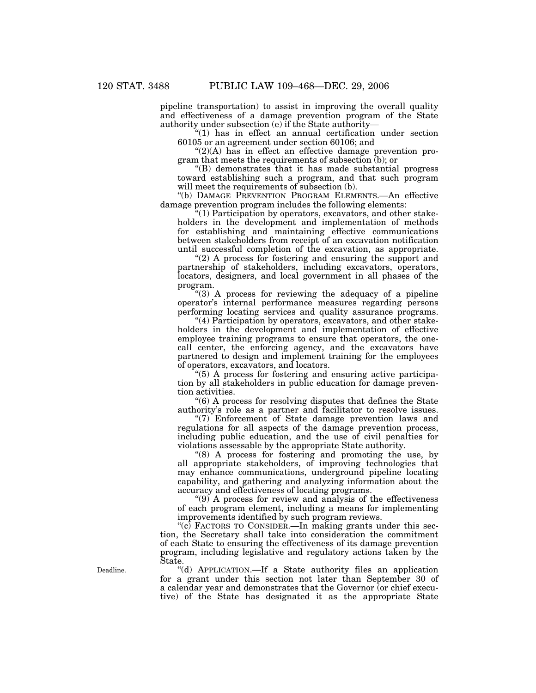pipeline transportation) to assist in improving the overall quality and effectiveness of a damage prevention program of the State authority under subsection (e) if the State authority—

"(1) has in effect an annual certification under section 60105 or an agreement under section 60106; and

 $!(2)(A)$  has in effect an effective damage prevention program that meets the requirements of subsection (b); or

''(B) demonstrates that it has made substantial progress toward establishing such a program, and that such program will meet the requirements of subsection (b).

''(b) DAMAGE PREVENTION PROGRAM ELEMENTS.—An effective damage prevention program includes the following elements:

 $(1)$  Participation by operators, excavators, and other stakeholders in the development and implementation of methods for establishing and maintaining effective communications between stakeholders from receipt of an excavation notification until successful completion of the excavation, as appropriate.

"(2) A process for fostering and ensuring the support and partnership of stakeholders, including excavators, operators, locators, designers, and local government in all phases of the program.

''(3) A process for reviewing the adequacy of a pipeline operator's internal performance measures regarding persons performing locating services and quality assurance programs.

''(4) Participation by operators, excavators, and other stakeholders in the development and implementation of effective employee training programs to ensure that operators, the onecall center, the enforcing agency, and the excavators have partnered to design and implement training for the employees of operators, excavators, and locators.

''(5) A process for fostering and ensuring active participation by all stakeholders in public education for damage prevention activities.

''(6) A process for resolving disputes that defines the State authority's role as a partner and facilitator to resolve issues.

"(7) Enforcement of State damage prevention laws and regulations for all aspects of the damage prevention process, including public education, and the use of civil penalties for violations assessable by the appropriate State authority.

''(8) A process for fostering and promoting the use, by all appropriate stakeholders, of improving technologies that may enhance communications, underground pipeline locating capability, and gathering and analyzing information about the accuracy and effectiveness of locating programs.

''(9) A process for review and analysis of the effectiveness of each program element, including a means for implementing improvements identified by such program reviews.

"(c) FACTORS TO CONSIDER.—In making grants under this section, the Secretary shall take into consideration the commitment of each State to ensuring the effectiveness of its damage prevention program, including legislative and regulatory actions taken by the State.

''(d) APPLICATION.—If a State authority files an application for a grant under this section not later than September 30 of a calendar year and demonstrates that the Governor (or chief executive) of the State has designated it as the appropriate State

Deadline.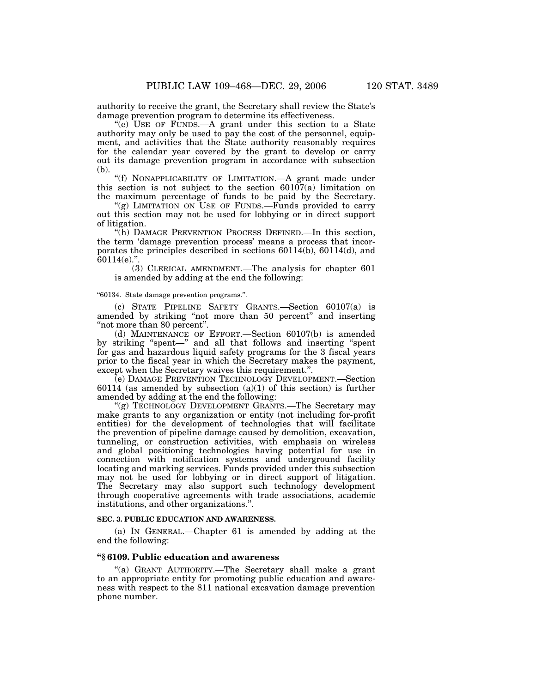authority to receive the grant, the Secretary shall review the State's damage prevention program to determine its effectiveness.

''(e) USE OF FUNDS.—A grant under this section to a State authority may only be used to pay the cost of the personnel, equipment, and activities that the State authority reasonably requires for the calendar year covered by the grant to develop or carry out its damage prevention program in accordance with subsection (b).

"(f) NONAPPLICABILITY OF LIMITATION. A grant made under this section is not subject to the section  $60107(a)$  limitation on the maximum percentage of funds to be paid by the Secretary.

"(g) LIMITATION ON USE OF FUNDS.—Funds provided to carry out this section may not be used for lobbying or in direct support of litigation.

''(h) DAMAGE PREVENTION PROCESS DEFINED.—In this section, the term 'damage prevention process' means a process that incorporates the principles described in sections  $60114(b)$ ,  $60114(d)$ , and  $60114(e)$ .".

(3) CLERICAL AMENDMENT.—The analysis for chapter 601 is amended by adding at the end the following:

#### ''60134. State damage prevention programs.''.

(c) STATE PIPELINE SAFETY GRANTS.—Section 60107(a) is amended by striking "not more than 50 percent" and inserting ''not more than 80 percent''.

(d) MAINTENANCE OF EFFORT.—Section 60107(b) is amended by striking ''spent—'' and all that follows and inserting ''spent for gas and hazardous liquid safety programs for the 3 fiscal years prior to the fiscal year in which the Secretary makes the payment, except when the Secretary waives this requirement.''.

(e) DAMAGE PREVENTION TECHNOLOGY DEVELOPMENT.—Section 60114 (as amended by subsection  $(a)(1)$  of this section) is further amended by adding at the end the following:

''(g) TECHNOLOGY DEVELOPMENT GRANTS.—The Secretary may make grants to any organization or entity (not including for-profit entities) for the development of technologies that will facilitate the prevention of pipeline damage caused by demolition, excavation, tunneling, or construction activities, with emphasis on wireless and global positioning technologies having potential for use in connection with notification systems and underground facility locating and marking services. Funds provided under this subsection may not be used for lobbying or in direct support of litigation. The Secretary may also support such technology development through cooperative agreements with trade associations, academic institutions, and other organizations.''.

#### **SEC. 3. PUBLIC EDUCATION AND AWARENESS.**

(a) IN GENERAL.—Chapter 61 is amended by adding at the end the following:

## **''§ 6109. Public education and awareness**

''(a) GRANT AUTHORITY.—The Secretary shall make a grant to an appropriate entity for promoting public education and awareness with respect to the 811 national excavation damage prevention phone number.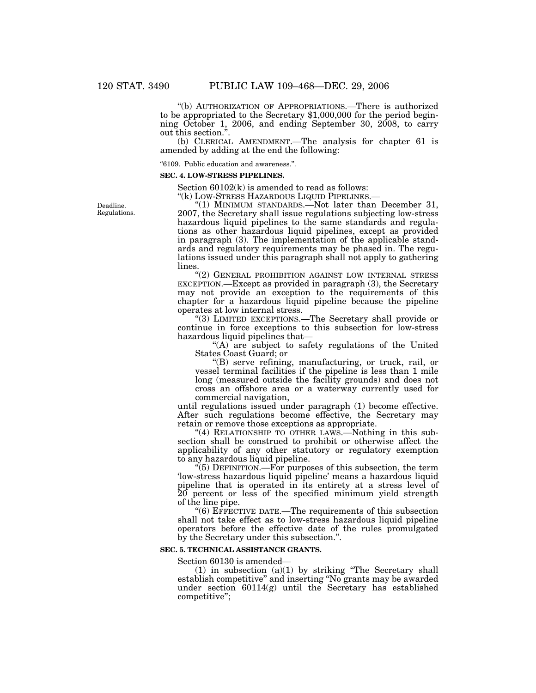''(b) AUTHORIZATION OF APPROPRIATIONS.—There is authorized to be appropriated to the Secretary \$1,000,000 for the period beginning October 1, 2006, and ending September 30, 2008, to carry out this section."

(b) CLERICAL AMENDMENT.—The analysis for chapter 61 is amended by adding at the end the following:

''6109. Public education and awareness.''.

#### **SEC. 4. LOW-STRESS PIPELINES.**

Section 60102(k) is amended to read as follows:

"(k) LOW-STRESS HAZARDOUS LIQUID PIPELINES.-

Deadline. Regulations.

''(1) MINIMUM STANDARDS.—Not later than December 31, 2007, the Secretary shall issue regulations subjecting low-stress hazardous liquid pipelines to the same standards and regulations as other hazardous liquid pipelines, except as provided in paragraph (3). The implementation of the applicable standards and regulatory requirements may be phased in. The regulations issued under this paragraph shall not apply to gathering lines.

''(2) GENERAL PROHIBITION AGAINST LOW INTERNAL STRESS EXCEPTION.—Except as provided in paragraph (3), the Secretary may not provide an exception to the requirements of this chapter for a hazardous liquid pipeline because the pipeline operates at low internal stress.

''(3) LIMITED EXCEPTIONS.—The Secretary shall provide or continue in force exceptions to this subsection for low-stress hazardous liquid pipelines that—

"(A) are subject to safety regulations of the United States Coast Guard; or

''(B) serve refining, manufacturing, or truck, rail, or vessel terminal facilities if the pipeline is less than 1 mile long (measured outside the facility grounds) and does not cross an offshore area or a waterway currently used for commercial navigation,

until regulations issued under paragraph (1) become effective. After such regulations become effective, the Secretary may retain or remove those exceptions as appropriate.

"(4) RELATIONSHIP TO OTHER LAWS.—Nothing in this subsection shall be construed to prohibit or otherwise affect the applicability of any other statutory or regulatory exemption to any hazardous liquid pipeline.

 $\cdot$ <sup>'(5)</sup> DEFINITION.—For purposes of this subsection, the term 'low-stress hazardous liquid pipeline' means a hazardous liquid pipeline that is operated in its entirety at a stress level of 20 percent or less of the specified minimum yield strength of the line pipe.

''(6) EFFECTIVE DATE.—The requirements of this subsection shall not take effect as to low-stress hazardous liquid pipeline operators before the effective date of the rules promulgated by the Secretary under this subsection.''.

#### **SEC. 5. TECHNICAL ASSISTANCE GRANTS.**

Section 60130 is amended—

 $(1)$  in subsection  $(a)(1)$  by striking "The Secretary shall establish competitive'' and inserting ''No grants may be awarded under section 60114(g) until the Secretary has established competitive'';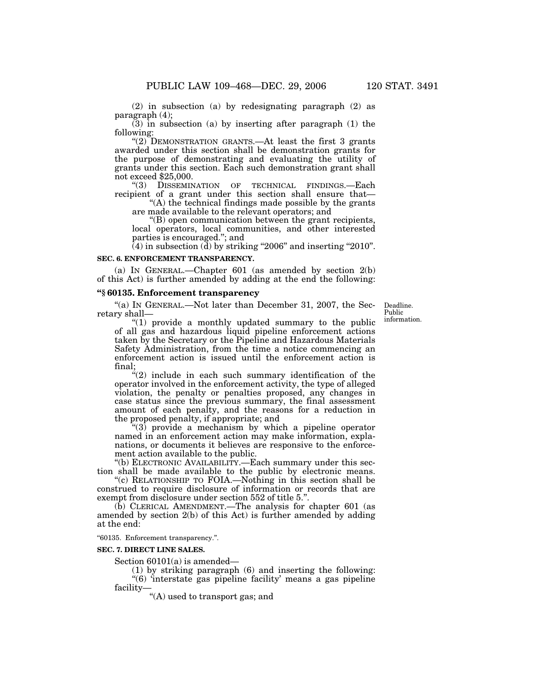(2) in subsection (a) by redesignating paragraph (2) as paragraph (4);

 $(3)$  in subsection (a) by inserting after paragraph (1) the following:

"(2) DEMONSTRATION GRANTS.—At least the first 3 grants awarded under this section shall be demonstration grants for the purpose of demonstrating and evaluating the utility of grants under this section. Each such demonstration grant shall not exceed  $$25,000$ .<br>
"(3) DISSEMIN

DISSEMINATION OF TECHNICAL FINDINGS.—Each recipient of a grant under this section shall ensure that—

''(A) the technical findings made possible by the grants are made available to the relevant operators; and

''(B) open communication between the grant recipients, local operators, local communities, and other interested parties is encouraged.''; and

 $(4)$  in subsection  $(d)$  by striking "2006" and inserting "2010".

## **SEC. 6. ENFORCEMENT TRANSPARENCY.**

(a) IN GENERAL.—Chapter 601 (as amended by section 2(b) of this Act) is further amended by adding at the end the following:

# **''§ 60135. Enforcement transparency**

''(a) IN GENERAL.—Not later than December 31, 2007, the Secretary shall—

Deadline. Public information.

''(1) provide a monthly updated summary to the public of all gas and hazardous liquid pipeline enforcement actions taken by the Secretary or the Pipeline and Hazardous Materials Safety Administration, from the time a notice commencing an enforcement action is issued until the enforcement action is final;

 $*(2)$  include in each such summary identification of the operator involved in the enforcement activity, the type of alleged violation, the penalty or penalties proposed, any changes in case status since the previous summary, the final assessment amount of each penalty, and the reasons for a reduction in the proposed penalty, if appropriate; and

 $(3)$  provide a mechanism by which a pipeline operator named in an enforcement action may make information, explanations, or documents it believes are responsive to the enforcement action available to the public.

''(b) ELECTRONIC AVAILABILITY.—Each summary under this section shall be made available to the public by electronic means.

''(c) RELATIONSHIP TO FOIA.—Nothing in this section shall be construed to require disclosure of information or records that are exempt from disclosure under section 552 of title 5.''.

 $(b)$  CLERICAL AMENDMENT.—The analysis for chapter 601 (as amended by section 2(b) of this Act) is further amended by adding at the end:

''60135. Enforcement transparency.''.

#### **SEC. 7. DIRECT LINE SALES.**

Section 60101(a) is amended—

(1) by striking paragraph (6) and inserting the following: "(6) 'interstate gas pipeline facility' means a gas pipeline facility—

''(A) used to transport gas; and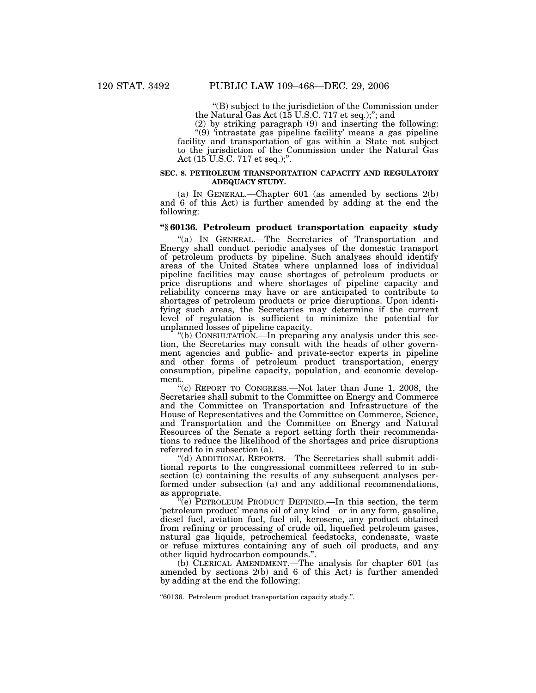''(B) subject to the jurisdiction of the Commission under the Natural Gas Act (15 U.S.C. 717 et seq.);''; and

(2) by striking paragraph (9) and inserting the following: ''(9) 'intrastate gas pipeline facility' means a gas pipeline facility and transportation of gas within a State not subject to the jurisdiction of the Commission under the Natural Gas Act (15 U.S.C. 717 et seq.);''.

#### **SEC. 8. PETROLEUM TRANSPORTATION CAPACITY AND REGULATORY ADEQUACY STUDY.**

(a) IN GENERAL.—Chapter 601 (as amended by sections 2(b) and 6 of this Act) is further amended by adding at the end the following:

## **''§ 60136. Petroleum product transportation capacity study**

''(a) IN GENERAL.—The Secretaries of Transportation and Energy shall conduct periodic analyses of the domestic transport of petroleum products by pipeline. Such analyses should identify areas of the United States where unplanned loss of individual pipeline facilities may cause shortages of petroleum products or price disruptions and where shortages of pipeline capacity and reliability concerns may have or are anticipated to contribute to shortages of petroleum products or price disruptions. Upon identifying such areas, the Secretaries may determine if the current level of regulation is sufficient to minimize the potential for unplanned losses of pipeline capacity.

''(b) CONSULTATION.—In preparing any analysis under this section, the Secretaries may consult with the heads of other government agencies and public- and private-sector experts in pipeline and other forms of petroleum product transportation, energy consumption, pipeline capacity, population, and economic development.

"(c) REPORT TO CONGRESS.—Not later than June 1, 2008, the Secretaries shall submit to the Committee on Energy and Commerce and the Committee on Transportation and Infrastructure of the House of Representatives and the Committee on Commerce, Science, and Transportation and the Committee on Energy and Natural Resources of the Senate a report setting forth their recommendations to reduce the likelihood of the shortages and price disruptions referred to in subsection (a).

''(d) ADDITIONAL REPORTS.—The Secretaries shall submit additional reports to the congressional committees referred to in subsection (c) containing the results of any subsequent analyses performed under subsection (a) and any additional recommendations, as appropriate.

''(e) PETROLEUM PRODUCT DEFINED.—In this section, the term 'petroleum product' means oil of any kind or in any form, gasoline, diesel fuel, aviation fuel, fuel oil, kerosene, any product obtained from refining or processing of crude oil, liquefied petroleum gases, natural gas liquids, petrochemical feedstocks, condensate, waste or refuse mixtures containing any of such oil products, and any other liquid hydrocarbon compounds.''.

(b) CLERICAL AMENDMENT.—The analysis for chapter 601 (as amended by sections 2(b) and 6 of this Act) is further amended by adding at the end the following:

''60136. Petroleum product transportation capacity study.''.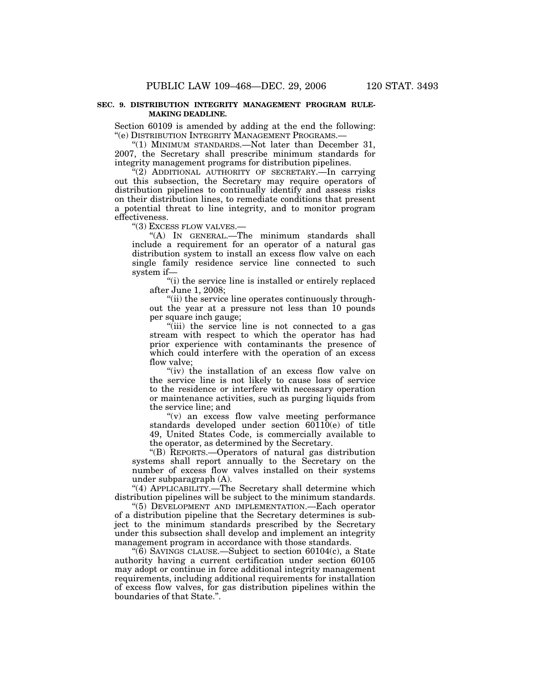## **SEC. 9. DISTRIBUTION INTEGRITY MANAGEMENT PROGRAM RULE-MAKING DEADLINE.**

Section 60109 is amended by adding at the end the following: ''(e) DISTRIBUTION INTEGRITY MANAGEMENT PROGRAMS.—

"(1) MINIMUM STANDARDS.—Not later than December 31, 2007, the Secretary shall prescribe minimum standards for integrity management programs for distribution pipelines.

"(2) ADDITIONAL AUTHORITY OF SECRETARY.—In carrying out this subsection, the Secretary may require operators of distribution pipelines to continually identify and assess risks on their distribution lines, to remediate conditions that present a potential threat to line integrity, and to monitor program effectiveness.

''(3) EXCESS FLOW VALVES.—

''(A) IN GENERAL.—The minimum standards shall include a requirement for an operator of a natural gas distribution system to install an excess flow valve on each single family residence service line connected to such system if—

''(i) the service line is installed or entirely replaced after June 1, 2008;

''(ii) the service line operates continuously throughout the year at a pressure not less than 10 pounds per square inch gauge;

''(iii) the service line is not connected to a gas stream with respect to which the operator has had prior experience with contaminants the presence of which could interfere with the operation of an excess flow valve;

"(iv) the installation of an excess flow valve on the service line is not likely to cause loss of service to the residence or interfere with necessary operation or maintenance activities, such as purging liquids from the service line; and

''(v) an excess flow valve meeting performance standards developed under section 60110(e) of title 49, United States Code, is commercially available to the operator, as determined by the Secretary.

''(B) REPORTS.—Operators of natural gas distribution systems shall report annually to the Secretary on the number of excess flow valves installed on their systems under subparagraph (A).

"(4) APPLICABILITY.—The Secretary shall determine which distribution pipelines will be subject to the minimum standards.

''(5) DEVELOPMENT AND IMPLEMENTATION.—Each operator of a distribution pipeline that the Secretary determines is subject to the minimum standards prescribed by the Secretary under this subsection shall develop and implement an integrity management program in accordance with those standards.

''(6) SAVINGS CLAUSE.—Subject to section 60104(c), a State authority having a current certification under section 60105 may adopt or continue in force additional integrity management requirements, including additional requirements for installation of excess flow valves, for gas distribution pipelines within the boundaries of that State.''.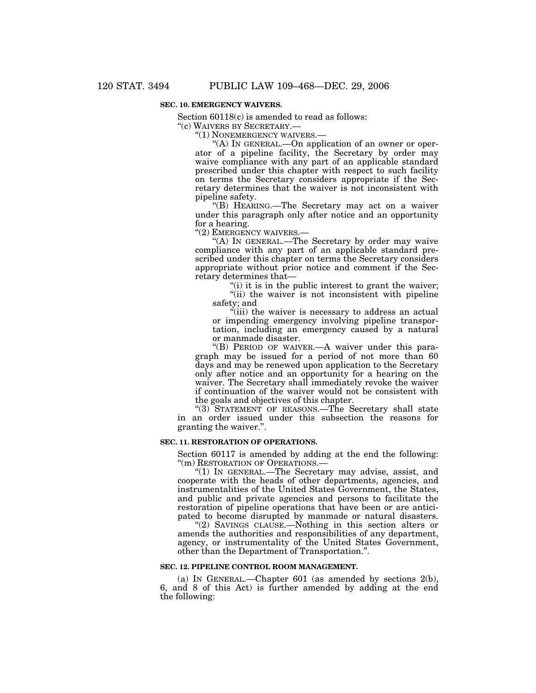## **SEC. 10. EMERGENCY WAIVERS.**

Section 60118(c) is amended to read as follows:

''(c) WAIVERS BY SECRETARY.—

''(1) NONEMERGENCY WAIVERS.—

"(A) In GENERAL.—On application of an owner or operator of a pipeline facility, the Secretary by order may waive compliance with any part of an applicable standard prescribed under this chapter with respect to such facility on terms the Secretary considers appropriate if the Secretary determines that the waiver is not inconsistent with pipeline safety.

''(B) HEARING.—The Secretary may act on a waiver under this paragraph only after notice and an opportunity for a hearing.

"(2) EMERGENCY WAIVERS.-

"(A) IN GENERAL.—The Secretary by order may waive compliance with any part of an applicable standard prescribed under this chapter on terms the Secretary considers appropriate without prior notice and comment if the Secretary determines that—

"(i) it is in the public interest to grant the waiver; "(ii) the waiver is not inconsistent with pipeline safety; and

"(iii) the waiver is necessary to address an actual or impending emergency involving pipeline transportation, including an emergency caused by a natural or manmade disaster.

"(B) PERIOD OF WAIVER.—A waiver under this paragraph may be issued for a period of not more than 60 days and may be renewed upon application to the Secretary only after notice and an opportunity for a hearing on the waiver. The Secretary shall immediately revoke the waiver if continuation of the waiver would not be consistent with the goals and objectives of this chapter.

"(3) STATEMENT OF REASONS.—The Secretary shall state in an order issued under this subsection the reasons for granting the waiver.''.

## **SEC. 11. RESTORATION OF OPERATIONS.**

Section 60117 is amended by adding at the end the following: "(m) RESTORATION OF OPERATIONS.-

''(1) IN GENERAL.—The Secretary may advise, assist, and cooperate with the heads of other departments, agencies, and instrumentalities of the United States Government, the States, and public and private agencies and persons to facilitate the restoration of pipeline operations that have been or are anticipated to become disrupted by manmade or natural disasters.

"(2) SAVINGS CLAUSE.—Nothing in this section alters or amends the authorities and responsibilities of any department, agency, or instrumentality of the United States Government, other than the Department of Transportation.''.

#### **SEC. 12. PIPELINE CONTROL ROOM MANAGEMENT.**

(a) IN GENERAL.—Chapter 601 (as amended by sections 2(b), 6, and 8 of this Act) is further amended by adding at the end the following: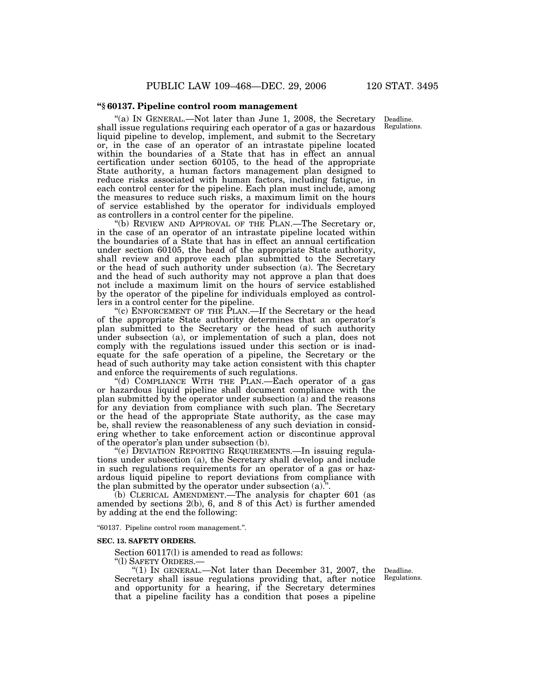## **''§ 60137. Pipeline control room management**

''(a) IN GENERAL.—Not later than June 1, 2008, the Secretary shall issue regulations requiring each operator of a gas or hazardous liquid pipeline to develop, implement, and submit to the Secretary or, in the case of an operator of an intrastate pipeline located within the boundaries of a State that has in effect an annual certification under section 60105, to the head of the appropriate State authority, a human factors management plan designed to reduce risks associated with human factors, including fatigue, in each control center for the pipeline. Each plan must include, among the measures to reduce such risks, a maximum limit on the hours of service established by the operator for individuals employed as controllers in a control center for the pipeline.

''(b) REVIEW AND APPROVAL OF THE PLAN.—The Secretary or, in the case of an operator of an intrastate pipeline located within the boundaries of a State that has in effect an annual certification under section 60105, the head of the appropriate State authority, shall review and approve each plan submitted to the Secretary or the head of such authority under subsection (a). The Secretary and the head of such authority may not approve a plan that does not include a maximum limit on the hours of service established by the operator of the pipeline for individuals employed as controllers in a control center for the pipeline.

"(c) ENFORCEMENT OF THE PLAN.—If the Secretary or the head of the appropriate State authority determines that an operator's plan submitted to the Secretary or the head of such authority under subsection (a), or implementation of such a plan, does not comply with the regulations issued under this section or is inadequate for the safe operation of a pipeline, the Secretary or the head of such authority may take action consistent with this chapter and enforce the requirements of such regulations.

''(d) COMPLIANCE WITH THE PLAN.—Each operator of a gas or hazardous liquid pipeline shall document compliance with the plan submitted by the operator under subsection  $(a)$  and the reasons for any deviation from compliance with such plan. The Secretary or the head of the appropriate State authority, as the case may be, shall review the reasonableness of any such deviation in considering whether to take enforcement action or discontinue approval of the operator's plan under subsection (b).

''(e) DEVIATION REPORTING REQUIREMENTS.—In issuing regulations under subsection (a), the Secretary shall develop and include in such regulations requirements for an operator of a gas or hazardous liquid pipeline to report deviations from compliance with the plan submitted by the operator under subsection (a).''.

(b) CLERICAL AMENDMENT.—The analysis for chapter 601 (as amended by sections 2(b), 6, and 8 of this Act) is further amended by adding at the end the following:

''60137. Pipeline control room management.''.

#### **SEC. 13. SAFETY ORDERS.**

Section 60117(l) is amended to read as follows:

''(l) SAFETY ORDERS.—

"(1) IN GENERAL.—Not later than December 31, 2007, the Deadline. Secretary shall issue regulations providing that, after notice and opportunity for a hearing, if the Secretary determines that a pipeline facility has a condition that poses a pipeline

Regulations.

Deadline. Regulations.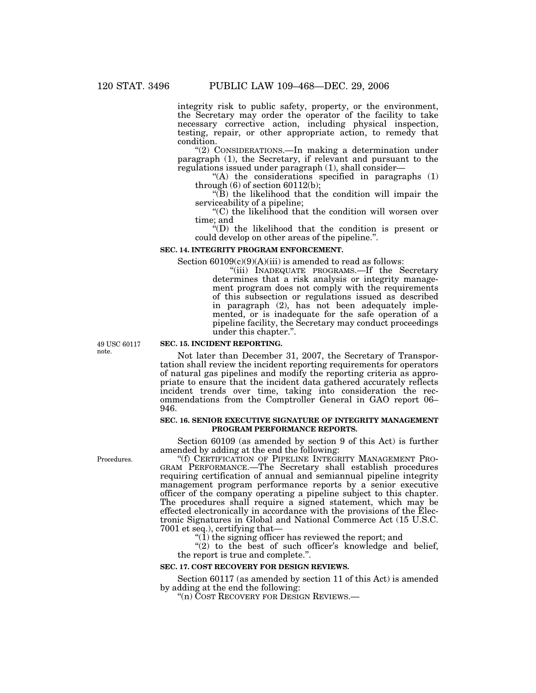integrity risk to public safety, property, or the environment, the Secretary may order the operator of the facility to take necessary corrective action, including physical inspection, testing, repair, or other appropriate action, to remedy that condition.

''(2) CONSIDERATIONS.—In making a determination under paragraph (1), the Secretary, if relevant and pursuant to the regulations issued under paragraph (1), shall consider—

"(A) the considerations specified in paragraphs (1) through  $(6)$  of section  $60112(b)$ ;

''(B) the likelihood that the condition will impair the serviceability of a pipeline;

''(C) the likelihood that the condition will worsen over time; and

''(D) the likelihood that the condition is present or could develop on other areas of the pipeline.''.

#### **SEC. 14. INTEGRITY PROGRAM ENFORCEMENT.**

Section  $60109(c)(9)(A)(iii)$  is amended to read as follows:

''(iii) INADEQUATE PROGRAMS.—If the Secretary determines that a risk analysis or integrity management program does not comply with the requirements of this subsection or regulations issued as described in paragraph (2), has not been adequately implemented, or is inadequate for the safe operation of a pipeline facility, the Secretary may conduct proceedings under this chapter.''.

49 USC 60117 note.

## **SEC. 15. INCIDENT REPORTING.**

Not later than December 31, 2007, the Secretary of Transportation shall review the incident reporting requirements for operators of natural gas pipelines and modify the reporting criteria as appropriate to ensure that the incident data gathered accurately reflects incident trends over time, taking into consideration the recommendations from the Comptroller General in GAO report 06– 946.

#### **SEC. 16. SENIOR EXECUTIVE SIGNATURE OF INTEGRITY MANAGEMENT PROGRAM PERFORMANCE REPORTS.**

Section 60109 (as amended by section 9 of this Act) is further amended by adding at the end the following:

''(f) CERTIFICATION OF PIPELINE INTEGRITY MANAGEMENT PRO-GRAM PERFORMANCE.—The Secretary shall establish procedures requiring certification of annual and semiannual pipeline integrity management program performance reports by a senior executive officer of the company operating a pipeline subject to this chapter. The procedures shall require a signed statement, which may be effected electronically in accordance with the provisions of the Electronic Signatures in Global and National Commerce Act (15 U.S.C. 7001 et seq.), certifying that—

" $(1)$  the signing officer has reviewed the report; and

" $(2)$  to the best of such officer's knowledge and belief, the report is true and complete.''.

#### **SEC. 17. COST RECOVERY FOR DESIGN REVIEWS.**

Section 60117 (as amended by section 11 of this Act) is amended by adding at the end the following:

''(n) COST RECOVERY FOR DESIGN REVIEWS.—

Procedures.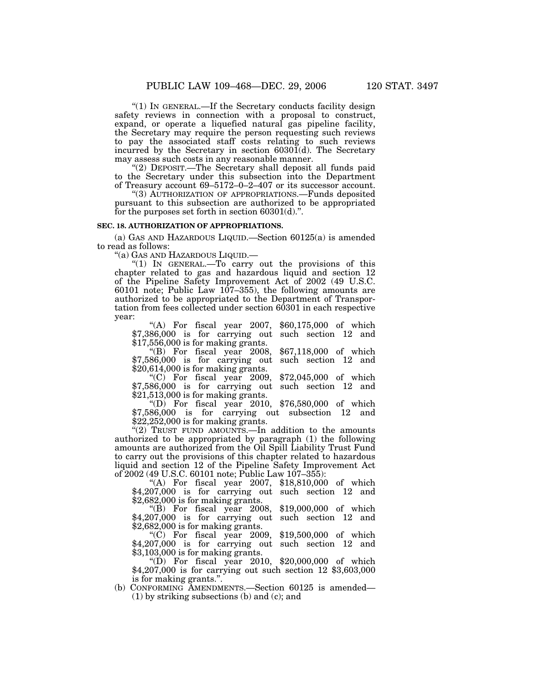''(1) IN GENERAL.—If the Secretary conducts facility design safety reviews in connection with a proposal to construct, expand, or operate a liquefied natural gas pipeline facility, the Secretary may require the person requesting such reviews to pay the associated staff costs relating to such reviews incurred by the Secretary in section 60301(d). The Secretary may assess such costs in any reasonable manner.

''(2) DEPOSIT.—The Secretary shall deposit all funds paid to the Secretary under this subsection into the Department of Treasury account 69–5172–0–2–407 or its successor account.

''(3) AUTHORIZATION OF APPROPRIATIONS.—Funds deposited pursuant to this subsection are authorized to be appropriated for the purposes set forth in section 60301(d).''.

## **SEC. 18. AUTHORIZATION OF APPROPRIATIONS.**

(a) GAS AND HAZARDOUS LIQUID.—Section 60125(a) is amended to read as follows:

''(a) GAS AND HAZARDOUS LIQUID.—

"(1) IN GENERAL.—To carry out the provisions of this chapter related to gas and hazardous liquid and section 12 of the Pipeline Safety Improvement Act of 2002 (49 U.S.C. 60101 note; Public Law 107-355), the following amounts are authorized to be appropriated to the Department of Transportation from fees collected under section 60301 in each respective year:

"(A) For fiscal year  $2007$ ,  $60,175,000$  of which \$7,386,000 is for carrying out such section 12 and \$17,556,000 is for making grants.

''(B) For fiscal year 2008, \$67,118,000 of which \$7,586,000 is for carrying out such section 12 and \$20,614,000 is for making grants.

" $(C)$  For fiscal year 2009, \$72,045,000 of which \$7,586,000 is for carrying out such section 12 and \$21,513,000 is for making grants.

''(D) For fiscal year 2010, \$76,580,000 of which \$7,586,000 is for carrying out subsection 12 and \$22,252,000 is for making grants.

"(2) TRUST FUND AMOUNTS.—In addition to the amounts authorized to be appropriated by paragraph (1) the following amounts are authorized from the Oil Spill Liability Trust Fund to carry out the provisions of this chapter related to hazardous liquid and section 12 of the Pipeline Safety Improvement Act of 2002 (49 U.S.C. 60101 note; Public Law 107–355):

"(A) For fiscal year 2007, \$18,810,000 of which \$4,207,000 is for carrying out such section 12 and \$2,682,000 is for making grants.

''(B) For fiscal year 2008, \$19,000,000 of which \$4,207,000 is for carrying out such section 12 and \$2,682,000 is for making grants.

''(C) For fiscal year 2009, \$19,500,000 of which \$4,207,000 is for carrying out such section 12 and \$3,103,000 is for making grants.

"(D) For fiscal year  $2010, $20,000,000$  of which \$4,207,000 is for carrying out such section 12 \$3,603,000 is for making grants.''.

(b) CONFORMING AMENDMENTS.—Section 60125 is amended— (1) by striking subsections (b) and (c); and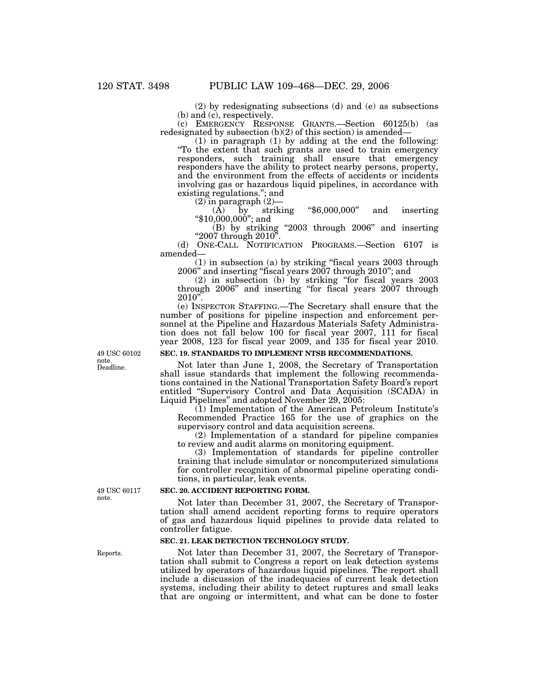(2) by redesignating subsections (d) and (e) as subsections (b) and (c), respectively.

(c) EMERGENCY RESPONSE GRANTS.—Section 60125(b) (as redesignated by subsection  $(b)(2)$  of this section) is amended-

(1) in paragraph (1) by adding at the end the following: ''To the extent that such grants are used to train emergency responders, such training shall ensure that emergency responders have the ability to protect nearby persons, property, and the environment from the effects of accidents or incidents involving gas or hazardous liquid pipelines, in accordance with existing regulations."; and<br>
(2) in paragraph (2)—

(A) by striking " $$6,000,000"$  and inserting "\$10,000,000"; and

(B) by striking ''2003 through 2006'' and inserting ''2007 through 2010''.

(d) ONE-CALL NOTIFICATION PROGRAMS.—Section 6107 is amended—

(1) in subsection (a) by striking ''fiscal years 2003 through 2006'' and inserting ''fiscal years 2007 through 2010''; and

(2) in subsection (b) by striking ''for fiscal years 2003 through 2006'' and inserting ''for fiscal years 2007 through 2010''.

(e) INSPECTOR STAFFING.—The Secretary shall ensure that the number of positions for pipeline inspection and enforcement personnel at the Pipeline and Hazardous Materials Safety Administration does not fall below 100 for fiscal year 2007, 111 for fiscal year 2008, 123 for fiscal year 2009, and 135 for fiscal year 2010.

## **SEC. 19. STANDARDS TO IMPLEMENT NTSB RECOMMENDATIONS.**

Not later than June 1, 2008, the Secretary of Transportation shall issue standards that implement the following recommendations contained in the National Transportation Safety Board's report entitled ''Supervisory Control and Data Acquisition (SCADA) in Liquid Pipelines'' and adopted November 29, 2005:

(1) Implementation of the American Petroleum Institute's Recommended Practice 165 for the use of graphics on the supervisory control and data acquisition screens.

(2) Implementation of a standard for pipeline companies to review and audit alarms on monitoring equipment.

(3) Implementation of standards for pipeline controller training that include simulator or noncomputerized simulations for controller recognition of abnormal pipeline operating conditions, in particular, leak events.

## **SEC. 20. ACCIDENT REPORTING FORM.**

Not later than December 31, 2007, the Secretary of Transportation shall amend accident reporting forms to require operators of gas and hazardous liquid pipelines to provide data related to controller fatigue.

## **SEC. 21. LEAK DETECTION TECHNOLOGY STUDY.**

Not later than December 31, 2007, the Secretary of Transportation shall submit to Congress a report on leak detection systems utilized by operators of hazardous liquid pipelines. The report shall include a discussion of the inadequacies of current leak detection systems, including their ability to detect ruptures and small leaks that are ongoing or intermittent, and what can be done to foster

49 USC 60102 note. Deadline.

49 USC 60117 note.

Reports.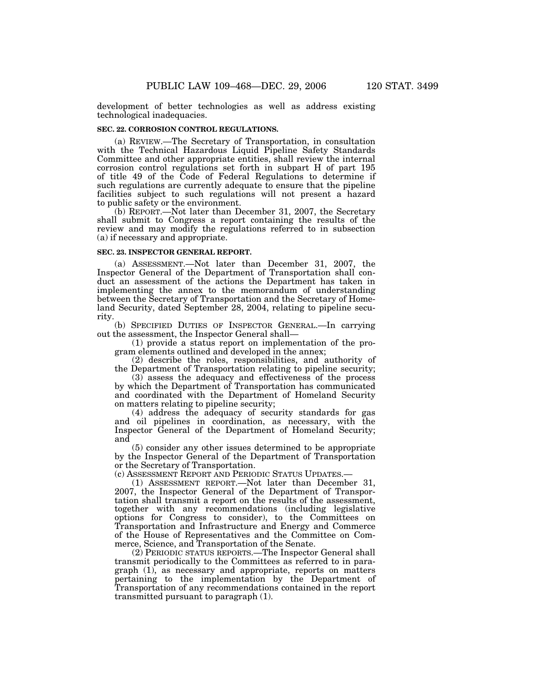development of better technologies as well as address existing technological inadequacies.

## **SEC. 22. CORROSION CONTROL REGULATIONS.**

(a) REVIEW.—The Secretary of Transportation, in consultation with the Technical Hazardous Liquid Pipeline Safety Standards Committee and other appropriate entities, shall review the internal corrosion control regulations set forth in subpart H of part 195 of title 49 of the Code of Federal Regulations to determine if such regulations are currently adequate to ensure that the pipeline facilities subject to such regulations will not present a hazard to public safety or the environment.

(b) REPORT.—Not later than December 31, 2007, the Secretary shall submit to Congress a report containing the results of the review and may modify the regulations referred to in subsection (a) if necessary and appropriate.

## **SEC. 23. INSPECTOR GENERAL REPORT.**

(a) ASSESSMENT.—Not later than December 31, 2007, the Inspector General of the Department of Transportation shall conduct an assessment of the actions the Department has taken in implementing the annex to the memorandum of understanding between the Secretary of Transportation and the Secretary of Homeland Security, dated September 28, 2004, relating to pipeline security.

(b) SPECIFIED DUTIES OF INSPECTOR GENERAL.—In carrying out the assessment, the Inspector General shall—

(1) provide a status report on implementation of the program elements outlined and developed in the annex;

(2) describe the roles, responsibilities, and authority of the Department of Transportation relating to pipeline security;

(3) assess the adequacy and effectiveness of the process by which the Department of Transportation has communicated and coordinated with the Department of Homeland Security on matters relating to pipeline security;

(4) address the adequacy of security standards for gas and oil pipelines in coordination, as necessary, with the Inspector General of the Department of Homeland Security; and

(5) consider any other issues determined to be appropriate by the Inspector General of the Department of Transportation or the Secretary of Transportation.

(c) ASSESSMENT REPORT AND PERIODIC STATUS UPDATES.—

(1) ASSESSMENT REPORT.—Not later than December 31, 2007, the Inspector General of the Department of Transportation shall transmit a report on the results of the assessment, together with any recommendations (including legislative options for Congress to consider), to the Committees on Transportation and Infrastructure and Energy and Commerce of the House of Representatives and the Committee on Commerce, Science, and Transportation of the Senate.

(2) PERIODIC STATUS REPORTS.—The Inspector General shall transmit periodically to the Committees as referred to in paragraph (1), as necessary and appropriate, reports on matters pertaining to the implementation by the Department of Transportation of any recommendations contained in the report transmitted pursuant to paragraph (1).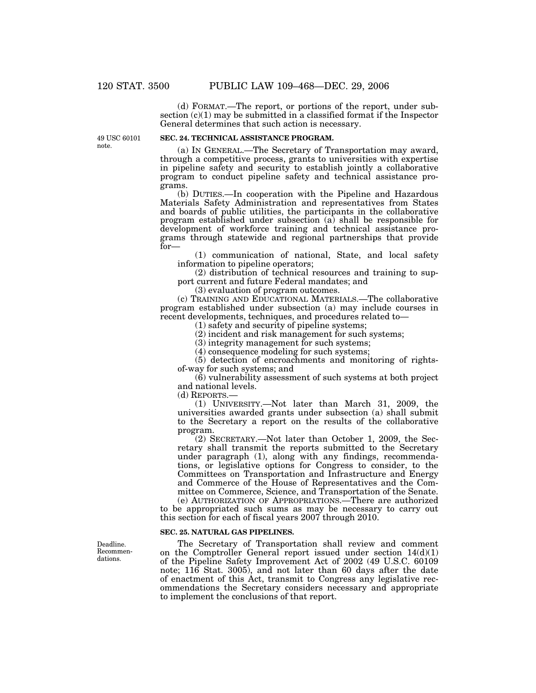(d) FORMAT.—The report, or portions of the report, under subsection  $(c)(1)$  may be submitted in a classified format if the Inspector General determines that such action is necessary.

49 USC 60101 note.

# **SEC. 24. TECHNICAL ASSISTANCE PROGRAM.**

(a) IN GENERAL.—The Secretary of Transportation may award, through a competitive process, grants to universities with expertise in pipeline safety and security to establish jointly a collaborative program to conduct pipeline safety and technical assistance programs.

(b) DUTIES.—In cooperation with the Pipeline and Hazardous Materials Safety Administration and representatives from States and boards of public utilities, the participants in the collaborative program established under subsection (a) shall be responsible for development of workforce training and technical assistance programs through statewide and regional partnerships that provide for—

(1) communication of national, State, and local safety information to pipeline operators;

(2) distribution of technical resources and training to support current and future Federal mandates; and

(3) evaluation of program outcomes.

(c) TRAINING AND EDUCATIONAL MATERIALS.—The collaborative program established under subsection (a) may include courses in recent developments, techniques, and procedures related to—

(1) safety and security of pipeline systems;

(2) incident and risk management for such systems;

(3) integrity management for such systems;

(4) consequence modeling for such systems;

(5) detection of encroachments and monitoring of rightsof-way for such systems; and

(6) vulnerability assessment of such systems at both project and national levels.

(d) REPORTS.—

(1) UNIVERSITY.—Not later than March 31, 2009, the universities awarded grants under subsection (a) shall submit to the Secretary a report on the results of the collaborative program.

(2) SECRETARY.—Not later than October 1, 2009, the Secretary shall transmit the reports submitted to the Secretary under paragraph (1), along with any findings, recommendations, or legislative options for Congress to consider, to the Committees on Transportation and Infrastructure and Energy and Commerce of the House of Representatives and the Committee on Commerce, Science, and Transportation of the Senate.

(e) AUTHORIZATION OF APPROPRIATIONS.—There are authorized to be appropriated such sums as may be necessary to carry out this section for each of fiscal years 2007 through 2010.

#### **SEC. 25. NATURAL GAS PIPELINES.**

The Secretary of Transportation shall review and comment on the Comptroller General report issued under section  $14(d)(1)$ of the Pipeline Safety Improvement Act of 2002 (49 U.S.C. 60109 note; 116 Stat. 3005), and not later than 60 days after the date of enactment of this Act, transmit to Congress any legislative recommendations the Secretary considers necessary and appropriate to implement the conclusions of that report.

Deadline. Recommendations.